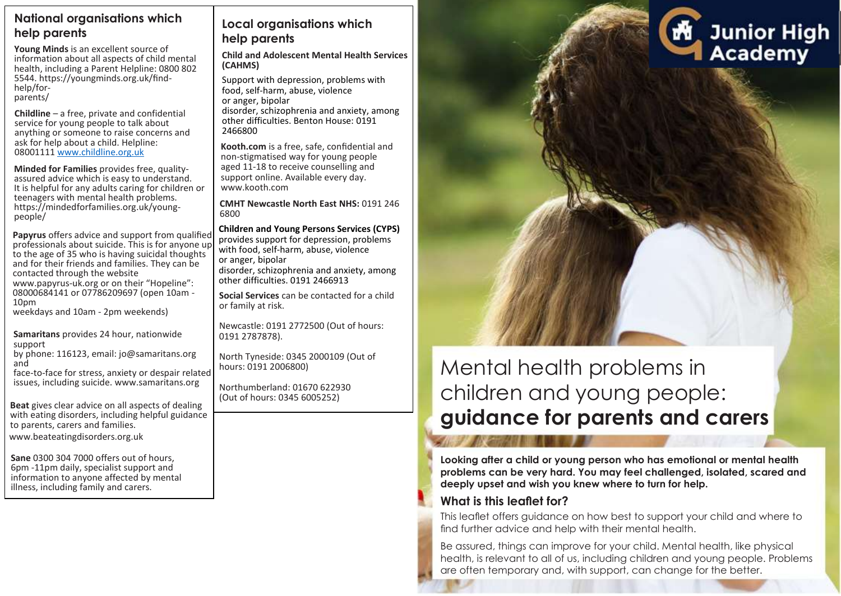### **National organisations which help parents Local organisations which**

**Young Minds** is an excellent source of information about all aspects of child mental health, including a Parent Helpline: 0800 802 5544. https://youngminds.org.uk/findhelp/forparents/

**Childline** – a free, private and confidential service for young people to talk about anything or someone to raise concerns and ask for help about a child. Helpline: 08001111 [www.childline.org.uk](http://www.childline.org.uk/)

**Minded for Families** provides free, qualityassured advice which is easy to understand. It is helpful for any adults caring for children or teenagers with mental health problems. https://mindedforfamilies.org.uk/youngpeople/

**Papyrus** offers advice and support from qualified professionals about suicide. This is for anyone up to the age of 35 who is having suicidal thoughts and for their friends and families. They can be contacted through the website www.papyrus-uk.org or on their "Hopeline": 08000684141 or 07786209697 (open 10am - 10pm weekdays and 10am - 2pm weekends)

**Samaritans** provides 24 hour, nationwide support by phone: 116123, email: jo@samaritans.org and face-to-face for stress, anxiety or despair related issues, including suicide. www.samaritans.org

**Beat** gives clear advice on all aspects of dealing with eating disorders, including helpful guidance to parents, carers and families.

www.beateatingdisorders.org.uk

**Sane** 0300 304 7000 offers out of hours, 6pm -11pm daily, specialist support and information to anyone affected by mental illness, including family and carers.

# **help parents**

**Child and Adolescent Mental Health Services (CAHMS)**

Support wit[h depression,](https://youngminds.org.uk/find-help/conditions/depression/) [problems with](https://youngminds.org.uk/find-help/feelings-and-symptoms/eating-problems/)  [food,](https://youngminds.org.uk/find-help/feelings-and-symptoms/eating-problems/) [self-harm,](https://youngminds.org.uk/find-help/feelings-and-symptoms/self-harm/) [abuse,](https://youngminds.org.uk/find-help/feelings-and-symptoms/abuse/) violence or [anger,](https://youngminds.org.uk/find-help/feelings-and-symptoms/anger/) [bipolar](https://youngminds.org.uk/find-help/conditions/bipolar-disorder/)  [disorder,](https://youngminds.org.uk/find-help/conditions/bipolar-disorder/) [schizophrenia](https://youngminds.org.uk/find-help/conditions/schizophrenia/) and [anxiety,](https://youngminds.org.uk/find-help/conditions/anxiety/) among other difficulties. Benton House: 0191 2466800

**Kooth.com** is a free, safe, confidential and non-stigmatised way for young people aged 11-18 to receive counselling and support online. Available every day. www.kooth.com

**CMHT Newcastle North East NHS:** 0191 246 6800

**Children and Young Persons Services (CYPS)** provides support fo[r depression,](https://youngminds.org.uk/find-help/conditions/depression/) [problems](https://youngminds.org.uk/find-help/feelings-and-symptoms/eating-problems/)  [with food,](https://youngminds.org.uk/find-help/feelings-and-symptoms/eating-problems/) [self-harm,](https://youngminds.org.uk/find-help/feelings-and-symptoms/self-harm/) [abuse,](https://youngminds.org.uk/find-help/feelings-and-symptoms/abuse/) violence or [anger,](https://youngminds.org.uk/find-help/feelings-and-symptoms/anger/) [bipolar](https://youngminds.org.uk/find-help/conditions/bipolar-disorder/)  [disorder,](https://youngminds.org.uk/find-help/conditions/bipolar-disorder/) [schizophrenia](https://youngminds.org.uk/find-help/conditions/schizophrenia/) and [anxiety,](https://youngminds.org.uk/find-help/conditions/anxiety/) among other difficulties. 0191 2466913 **Social Services** can be contacted for a child or family at risk.

Newcastle: 0191 2772500 (Out of hours: 0191 2787878).

North Tyneside: 0345 2000109 (Out of hours: 0191 2006800)

Northumberland: 01670 622930 (Out of hours: 0345 6005252)



## Mental health problems in children and young people: **guidance for parents and carers**

**Looking after a child or young person who has emotional or mental health problems can be very hard. You may feel challenged, isolated, scared and deeply upset and wish you knew where to turn for help.**

## **What is this leaflet for?**

This leaflet offers guidance on how best to support your child and where to find further advice and help with their mental health.

Be assured, things can improve for your child. Mental health, like physical health, is relevant to all of us, including children and young people. Problems are often temporary and, with support, can change for the better.